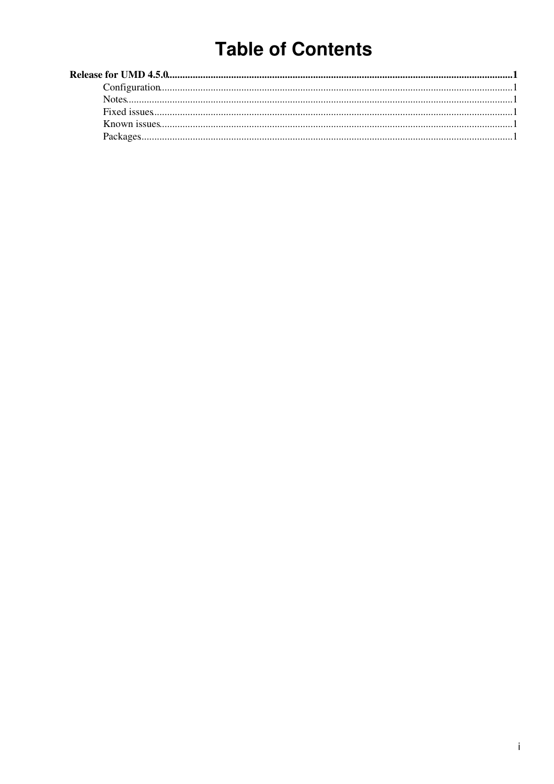## **Table of Contents**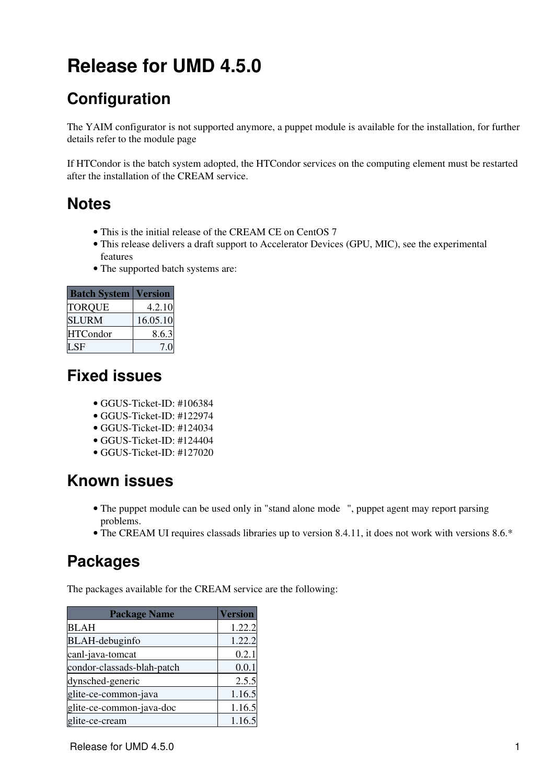# <span id="page-1-0"></span>**Release for UMD 4.5.0**

### <span id="page-1-1"></span>**Configuration**

The YAIM configurator is not supported anymore, a puppet module is available for the installation, for further details refer to the [module page](https://forge.puppet.com/infnpd/creamce)

If HTCondor is the batch system adopted, the HTCondor services on the computing element must be restarted after the installation of the CREAM service.

#### <span id="page-1-2"></span>**Notes**

- This is the initial release of the CREAM CE on CentOS 7
- This release delivers a draft support to Accelerator Devices (GPU, MIC), see the [experimental](https://forge.puppet.com/infnpd/creamce#experimental-features) [features](https://forge.puppet.com/infnpd/creamce#experimental-features)
- The supported batch systems are:

| <b>Batch System</b> | <b>Version</b> |
|---------------------|----------------|
| <b>TORQUE</b>       | 4.2.10         |
| <b>SLURM</b>        | 16.05.10       |
| <b>HTCondor</b>     | 8.6.3          |
| SE                  |                |

#### <span id="page-1-3"></span>**Fixed issues**

- GGUS-Ticket-ID: [#106384](https://ggus.eu/index.php?mode=ticket_info&ticket_id=106384)
- GGUS-Ticket-ID: [#122974](https://ggus.eu/index.php?mode=ticket_info&ticket_id=122974)
- GGUS-Ticket-ID: [#124034](https://ggus.eu/index.php?mode=ticket_info&ticket_id=124034)
- GGUS-Ticket-ID: [#124404](https://ggus.eu/index.php?mode=ticket_info&ticket_id=124404)
- GGUS-Ticket-ID: [#127020](https://ggus.eu/index.php?mode=ticket_info&ticket_id=127020)

### <span id="page-1-4"></span>**Known issues**

- The puppet module can be used only in ["stand alone mode](https://forge.puppet.com/infnpd/creamce#example-of-stand-alone-installation-and-configuration-for-centos-7) ", puppet agent may report parsing problems.
- The CREAM UI requires classads libraries up to version 8.4.11, it does not work with versions 8.6.\*

#### <span id="page-1-5"></span>**Packages**

The packages available for the CREAM service are the following:

| <b>Package Name</b>        | <b>Version</b> |
|----------------------------|----------------|
| <b>BLAH</b>                | 1.22.2         |
| <b>BLAH-debuginfo</b>      | 1.22.2         |
| canl-java-tomcat           | 0.2.1          |
| condor-classads-blah-patch | 0.0.1          |
| dynsched-generic           | 2.5.5          |
| glite-ce-common-java       | 1.16.5         |
| glite-ce-common-java-doc   | 1.16.5         |
| glite-ce-cream             | 1.16.5         |